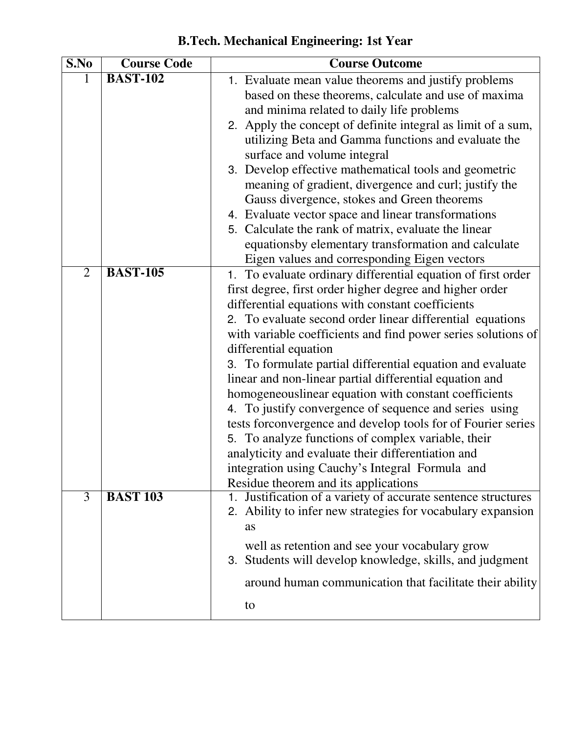| S.No           | <b>Course Code</b> | <b>Course Outcome</b>                                                                                       |
|----------------|--------------------|-------------------------------------------------------------------------------------------------------------|
|                | <b>BAST-102</b>    | 1. Evaluate mean value theorems and justify problems                                                        |
|                |                    | based on these theorems, calculate and use of maxima                                                        |
|                |                    | and minima related to daily life problems                                                                   |
|                |                    | 2. Apply the concept of definite integral as limit of a sum,                                                |
|                |                    | utilizing Beta and Gamma functions and evaluate the                                                         |
|                |                    | surface and volume integral                                                                                 |
|                |                    | 3. Develop effective mathematical tools and geometric                                                       |
|                |                    | meaning of gradient, divergence and curl; justify the                                                       |
|                |                    | Gauss divergence, stokes and Green theorems                                                                 |
|                |                    | 4. Evaluate vector space and linear transformations                                                         |
|                |                    | 5. Calculate the rank of matrix, evaluate the linear<br>equationsby elementary transformation and calculate |
|                |                    | Eigen values and corresponding Eigen vectors                                                                |
| $\overline{2}$ | <b>BAST-105</b>    | 1. To evaluate ordinary differential equation of first order                                                |
|                |                    | first degree, first order higher degree and higher order                                                    |
|                |                    | differential equations with constant coefficients                                                           |
|                |                    | 2. To evaluate second order linear differential equations                                                   |
|                |                    | with variable coefficients and find power series solutions of                                               |
|                |                    | differential equation                                                                                       |
|                |                    | 3. To formulate partial differential equation and evaluate                                                  |
|                |                    | linear and non-linear partial differential equation and                                                     |
|                |                    | homogeneouslinear equation with constant coefficients                                                       |
|                |                    | 4. To justify convergence of sequence and series using                                                      |
|                |                    | tests forconvergence and develop tools for of Fourier series                                                |
|                |                    | 5. To analyze functions of complex variable, their                                                          |
|                |                    | analyticity and evaluate their differentiation and                                                          |
|                |                    | integration using Cauchy's Integral Formula and                                                             |
|                |                    | Residue theorem and its applications                                                                        |
| $\overline{3}$ | <b>BAST 103</b>    | Justification of a variety of accurate sentence structures<br>1.                                            |
|                |                    | 2. Ability to infer new strategies for vocabulary expansion                                                 |
|                |                    | as                                                                                                          |
|                |                    |                                                                                                             |
|                |                    | well as retention and see your vocabulary grow                                                              |
|                |                    | 3. Students will develop knowledge, skills, and judgment                                                    |
|                |                    | around human communication that facilitate their ability                                                    |

**B.Tech. Mechanical Engineering: 1st Year**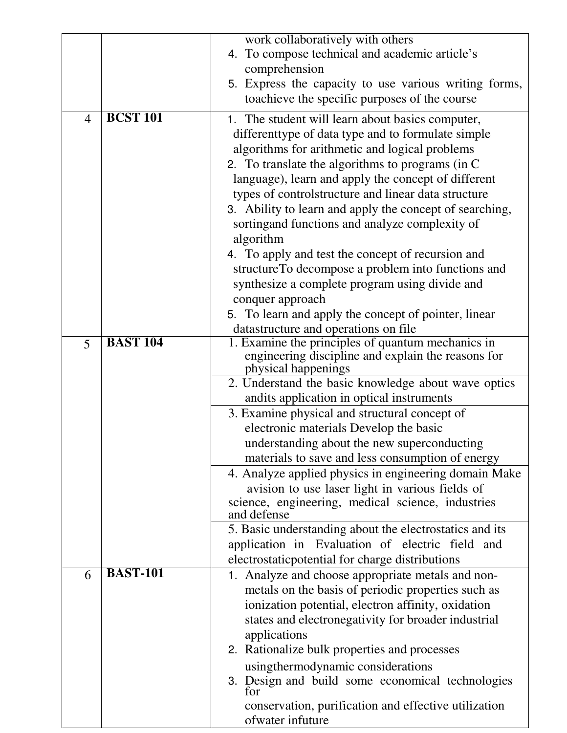|                |                 | work collaboratively with others                                                                        |
|----------------|-----------------|---------------------------------------------------------------------------------------------------------|
|                |                 | 4. To compose technical and academic article's                                                          |
|                |                 | comprehension                                                                                           |
|                |                 | 5. Express the capacity to use various writing forms,                                                   |
|                |                 | toachieve the specific purposes of the course                                                           |
| $\overline{4}$ | <b>BCST 101</b> | 1. The student will learn about basics computer,                                                        |
|                |                 | different type of data type and to formulate simple                                                     |
|                |                 | algorithms for arithmetic and logical problems                                                          |
|                |                 | 2. To translate the algorithms to programs (in C)                                                       |
|                |                 | language), learn and apply the concept of different                                                     |
|                |                 | types of controlstructure and linear data structure                                                     |
|                |                 | 3. Ability to learn and apply the concept of searching,                                                 |
|                |                 | sortingand functions and analyze complexity of                                                          |
|                |                 | algorithm                                                                                               |
|                |                 | 4. To apply and test the concept of recursion and<br>structureTo decompose a problem into functions and |
|                |                 | synthesize a complete program using divide and                                                          |
|                |                 | conquer approach                                                                                        |
|                |                 | 5. To learn and apply the concept of pointer, linear                                                    |
|                |                 | datastructure and operations on file                                                                    |
| 5              | <b>BAST 104</b> | 1. Examine the principles of quantum mechanics in                                                       |
|                |                 | engineering discipline and explain the reasons for                                                      |
|                |                 | physical happenings                                                                                     |
|                |                 | 2. Understand the basic knowledge about wave optics                                                     |
|                |                 | andits application in optical instruments                                                               |
|                |                 | 3. Examine physical and structural concept of<br>electronic materials Develop the basic                 |
|                |                 | understanding about the new superconducting                                                             |
|                |                 | materials to save and less consumption of energy                                                        |
|                |                 | 4. Analyze applied physics in engineering domain Make                                                   |
|                |                 | avision to use laser light in various fields of                                                         |
|                |                 | science, engineering, medical science, industries                                                       |
|                |                 | and defense                                                                                             |
|                |                 | 5. Basic understanding about the electrostatics and its                                                 |
|                |                 | application in Evaluation of electric field and                                                         |
| 6              | <b>BAST-101</b> | electrostatic potential for charge distributions                                                        |
|                |                 | 1. Analyze and choose appropriate metals and non-<br>metals on the basis of periodic properties such as |
|                |                 | ionization potential, electron affinity, oxidation                                                      |
|                |                 | states and electronegativity for broader industrial                                                     |
|                |                 | applications                                                                                            |
|                |                 | 2. Rationalize bulk properties and processes                                                            |
|                |                 | using thermodynamic considerations                                                                      |
|                |                 | 3. Design and build some economical technologies                                                        |
|                |                 | for                                                                                                     |
|                |                 | conservation, purification and effective utilization                                                    |
|                |                 | ofwater infuture                                                                                        |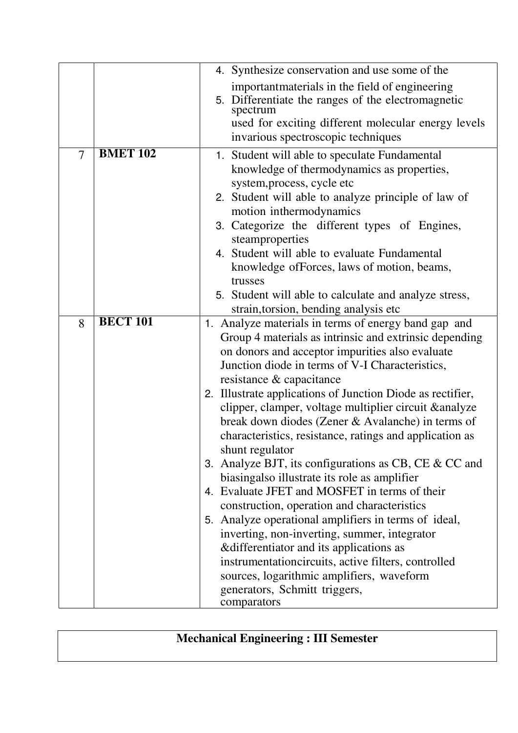|                |                 | 4. Synthesize conservation and use some of the                                                                                                                                                                                                                                                                                                                                                                                                                                                                                                                                                                                                                                                                                                                                                                                                                                                                                                                                                                                 |
|----------------|-----------------|--------------------------------------------------------------------------------------------------------------------------------------------------------------------------------------------------------------------------------------------------------------------------------------------------------------------------------------------------------------------------------------------------------------------------------------------------------------------------------------------------------------------------------------------------------------------------------------------------------------------------------------------------------------------------------------------------------------------------------------------------------------------------------------------------------------------------------------------------------------------------------------------------------------------------------------------------------------------------------------------------------------------------------|
|                |                 | important materials in the field of engineering<br>5. Differentiate the ranges of the electromagnetic<br>spectrum<br>used for exciting different molecular energy levels<br>invarious spectroscopic techniques                                                                                                                                                                                                                                                                                                                                                                                                                                                                                                                                                                                                                                                                                                                                                                                                                 |
| $\overline{7}$ | <b>BMET 102</b> | 1. Student will able to speculate Fundamental<br>knowledge of thermodynamics as properties,<br>system, process, cycle etc<br>2. Student will able to analyze principle of law of<br>motion inthermodynamics<br>3. Categorize the different types of Engines,<br>steamproperties<br>4. Student will able to evaluate Fundamental<br>knowledge of Forces, laws of motion, beams,<br>trusses<br>5. Student will able to calculate and analyze stress,<br>strain, torsion, bending analysis etc.                                                                                                                                                                                                                                                                                                                                                                                                                                                                                                                                   |
| 8              | <b>BECT 101</b> | 1. Analyze materials in terms of energy band gap and<br>Group 4 materials as intrinsic and extrinsic depending<br>on donors and acceptor impurities also evaluate<br>Junction diode in terms of V-I Characteristics,<br>resistance & capacitance<br>2. Illustrate applications of Junction Diode as rectifier,<br>clipper, clamper, voltage multiplier circuit & analyze<br>break down diodes (Zener & Avalanche) in terms of<br>characteristics, resistance, ratings and application as<br>shunt regulator<br>3. Analyze BJT, its configurations as CB, CE $& CC$ and<br>biasingalso illustrate its role as amplifier<br>4. Evaluate JFET and MOSFET in terms of their<br>construction, operation and characteristics<br>5. Analyze operational amplifiers in terms of ideal,<br>inverting, non-inverting, summer, integrator<br>& differentiator and its applications as<br>instrumentationcircuits, active filters, controlled<br>sources, logarithmic amplifiers, waveform<br>generators, Schmitt triggers,<br>comparators |

**Mechanical Engineering : III Semester**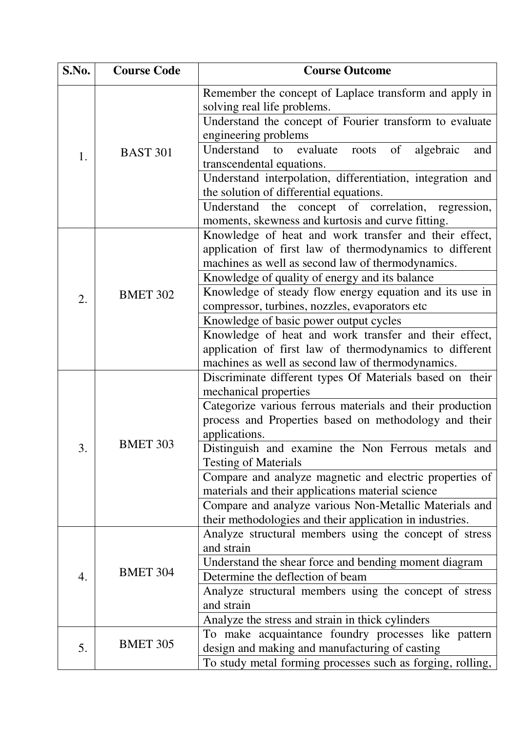| S.No. | <b>Course Code</b> | <b>Course Outcome</b>                                                                         |
|-------|--------------------|-----------------------------------------------------------------------------------------------|
| 1.    |                    | Remember the concept of Laplace transform and apply in<br>solving real life problems.         |
|       |                    | Understand the concept of Fourier transform to evaluate<br>engineering problems               |
|       | <b>BAST 301</b>    | Understand<br>to evaluate<br>of<br>algebraic<br>roots<br>and                                  |
|       |                    | transcendental equations.                                                                     |
|       |                    | Understand interpolation, differentiation, integration and                                    |
|       |                    | the solution of differential equations.<br>Understand the concept of correlation, regression, |
|       |                    | moments, skewness and kurtosis and curve fitting.                                             |
|       |                    | Knowledge of heat and work transfer and their effect,                                         |
|       |                    | application of first law of thermodynamics to different                                       |
|       |                    | machines as well as second law of thermodynamics.                                             |
|       |                    | Knowledge of quality of energy and its balance                                                |
| 2.    | <b>BMET 302</b>    | Knowledge of steady flow energy equation and its use in                                       |
|       |                    | compressor, turbines, nozzles, evaporators etc                                                |
|       | <b>BMET 303</b>    | Knowledge of basic power output cycles                                                        |
|       |                    | Knowledge of heat and work transfer and their effect,                                         |
|       |                    | application of first law of thermodynamics to different                                       |
|       |                    | machines as well as second law of thermodynamics.                                             |
|       |                    | Discriminate different types Of Materials based on their                                      |
|       |                    | mechanical properties<br>Categorize various ferrous materials and their production            |
|       |                    | process and Properties based on methodology and their                                         |
|       |                    | applications.                                                                                 |
| 3     |                    | Distinguish and examine the Non Ferrous metals and                                            |
|       |                    | <b>Testing of Materials</b>                                                                   |
|       |                    | Compare and analyze magnetic and electric properties of                                       |
|       |                    | materials and their applications material science                                             |
|       |                    | Compare and analyze various Non-Metallic Materials and                                        |
|       |                    | their methodologies and their application in industries.                                      |
|       |                    | Analyze structural members using the concept of stress                                        |
| 4.    | <b>BMET 304</b>    | and strain                                                                                    |
|       |                    | Understand the shear force and bending moment diagram                                         |
|       |                    | Determine the deflection of beam                                                              |
|       |                    | Analyze structural members using the concept of stress                                        |
|       |                    | and strain<br>Analyze the stress and strain in thick cylinders                                |
|       |                    | To make acquaintance foundry processes like pattern                                           |
| 5.    | <b>BMET 305</b>    | design and making and manufacturing of casting                                                |
|       |                    | To study metal forming processes such as forging, rolling,                                    |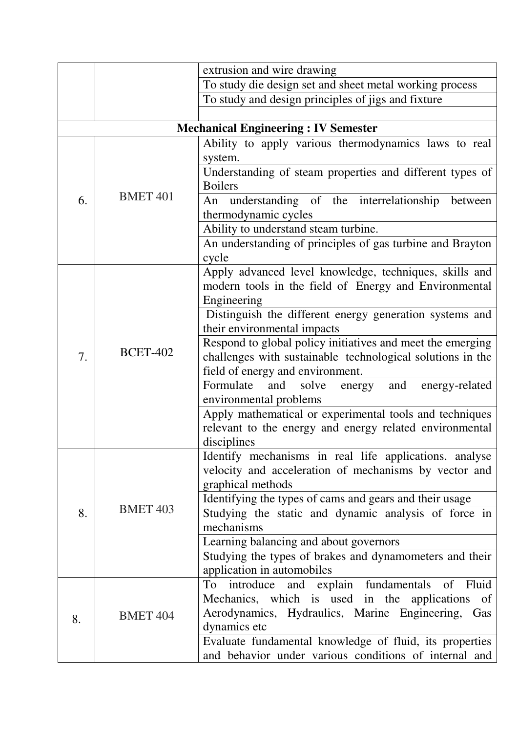|    |                 | extrusion and wire drawing                                                            |
|----|-----------------|---------------------------------------------------------------------------------------|
|    |                 | To study die design set and sheet metal working process                               |
|    |                 | To study and design principles of jigs and fixture                                    |
|    |                 |                                                                                       |
|    |                 | <b>Mechanical Engineering: IV Semester</b>                                            |
|    |                 | Ability to apply various thermodynamics laws to real<br>system.                       |
|    |                 | Understanding of steam properties and different types of                              |
|    |                 | <b>Boilers</b>                                                                        |
| 6. | <b>BMET 401</b> | understanding of the interrelationship between<br>An                                  |
|    |                 | thermodynamic cycles                                                                  |
|    |                 | Ability to understand steam turbine.                                                  |
|    |                 | An understanding of principles of gas turbine and Brayton                             |
|    |                 | cycle                                                                                 |
|    |                 | Apply advanced level knowledge, techniques, skills and                                |
|    |                 | modern tools in the field of Energy and Environmental<br>Engineering                  |
|    |                 | Distinguish the different energy generation systems and                               |
|    |                 | their environmental impacts                                                           |
|    |                 | Respond to global policy initiatives and meet the emerging                            |
| 7. | <b>BCET-402</b> | challenges with sustainable technological solutions in the                            |
|    |                 | field of energy and environment.                                                      |
|    |                 | Formulate<br>and<br>energy and<br>solve<br>energy-related                             |
|    |                 | environmental problems                                                                |
|    |                 | Apply mathematical or experimental tools and techniques                               |
|    |                 | relevant to the energy and energy related environmental                               |
|    |                 | disciplines                                                                           |
|    | <b>BMET 403</b> | Identify mechanisms in real life applications. analyse                                |
|    |                 | velocity and acceleration of mechanisms by vector and                                 |
|    |                 | graphical methods                                                                     |
|    |                 | Identifying the types of cams and gears and their usage                               |
| 8. |                 | Studying the static and dynamic analysis of force in                                  |
|    |                 | mechanisms                                                                            |
|    |                 | Learning balancing and about governors                                                |
|    |                 | Studying the types of brakes and dynamometers and their<br>application in automobiles |
|    |                 | and explain fundamentals<br>of Fluid<br>To<br>introduce                               |
|    | <b>BMET 404</b> | Mechanics, which is used in the applications<br>of                                    |
|    |                 | Aerodynamics, Hydraulics, Marine Engineering, Gas                                     |
| 8. |                 | dynamics etc                                                                          |
|    |                 | Evaluate fundamental knowledge of fluid, its properties                               |
|    |                 | and behavior under various conditions of internal and                                 |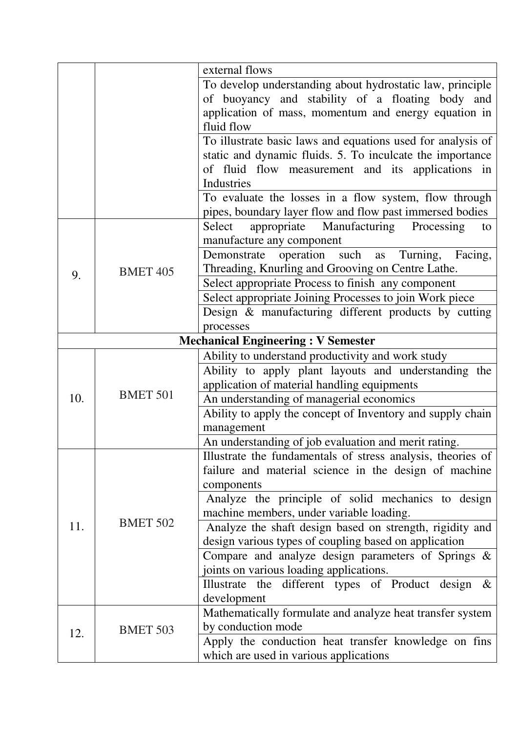|     |                 | external flows                                                 |
|-----|-----------------|----------------------------------------------------------------|
|     |                 | To develop understanding about hydrostatic law, principle      |
|     |                 | of buoyancy and stability of a floating body and               |
|     |                 | application of mass, momentum and energy equation in           |
|     |                 | fluid flow                                                     |
|     |                 | To illustrate basic laws and equations used for analysis of    |
|     |                 | static and dynamic fluids. 5. To inculcate the importance      |
|     |                 | of fluid flow measurement and its applications in              |
|     |                 | Industries                                                     |
|     |                 | To evaluate the losses in a flow system, flow through          |
|     |                 | pipes, boundary layer flow and flow past immersed bodies       |
|     |                 | appropriate Manufacturing<br>Processing<br>Select<br>to        |
|     |                 | manufacture any component                                      |
|     |                 | Demonstrate operation such as<br>Turning,<br>Facing,           |
| 9.  | <b>BMET 405</b> | Threading, Knurling and Grooving on Centre Lathe.              |
|     |                 | Select appropriate Process to finish any component             |
|     |                 | Select appropriate Joining Processes to join Work piece        |
|     |                 | Design & manufacturing different products by cutting           |
|     |                 | processes                                                      |
|     |                 | <b>Mechanical Engineering: V Semester</b>                      |
|     |                 | Ability to understand productivity and work study              |
|     |                 | Ability to apply plant layouts and understanding the           |
|     | <b>BMET 501</b> | application of material handling equipments                    |
| 10. |                 | An understanding of managerial economics                       |
|     |                 | Ability to apply the concept of Inventory and supply chain     |
|     |                 | management                                                     |
|     |                 | An understanding of job evaluation and merit rating.           |
|     |                 | Illustrate the fundamentals of stress analysis, theories of    |
|     |                 | failure and material science in the design of machine          |
|     |                 | components                                                     |
|     |                 | Analyze the principle of solid mechanics to design             |
|     |                 | machine members, under variable loading.                       |
| 11. | <b>BMET 502</b> | Analyze the shaft design based on strength, rigidity and       |
|     |                 | design various types of coupling based on application          |
|     |                 | Compare and analyze design parameters of Springs $\&$          |
|     |                 | joints on various loading applications.                        |
|     |                 | the different types of Product<br>Illustrate<br>design<br>$\&$ |
|     |                 | development                                                    |
|     |                 | Mathematically formulate and analyze heat transfer system      |
| 12. | <b>BMET 503</b> | by conduction mode                                             |
|     |                 | Apply the conduction heat transfer knowledge on fins           |
|     |                 | which are used in various applications                         |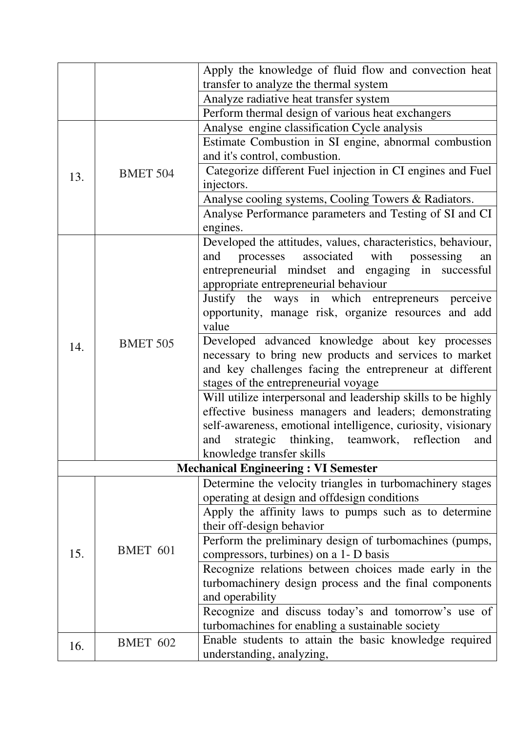|     |                 | Apply the knowledge of fluid flow and convection heat                     |
|-----|-----------------|---------------------------------------------------------------------------|
|     |                 | transfer to analyze the thermal system                                    |
|     |                 | Analyze radiative heat transfer system                                    |
|     |                 | Perform thermal design of various heat exchangers                         |
|     |                 | Analyse engine classification Cycle analysis                              |
|     |                 | Estimate Combustion in SI engine, abnormal combustion                     |
|     |                 | and it's control, combustion.                                             |
| 13. | <b>BMET 504</b> | Categorize different Fuel injection in CI engines and Fuel                |
|     |                 | injectors.                                                                |
|     |                 | Analyse cooling systems, Cooling Towers & Radiators.                      |
|     |                 | Analyse Performance parameters and Testing of SI and CI                   |
|     |                 | engines.                                                                  |
|     |                 | Developed the attitudes, values, characteristics, behaviour,              |
|     |                 | processes<br>associated<br>with<br>and<br>possessing<br>an                |
|     |                 | entrepreneurial mindset and engaging in successful                        |
|     |                 | appropriate entrepreneurial behaviour                                     |
|     |                 | Justify the ways in which entrepreneurs perceive                          |
|     |                 | opportunity, manage risk, organize resources and add                      |
|     |                 | value                                                                     |
| 14. | <b>BMET 505</b> | Developed advanced knowledge about key processes                          |
|     |                 | necessary to bring new products and services to market                    |
|     |                 | and key challenges facing the entrepreneur at different                   |
|     |                 | stages of the entrepreneurial voyage                                      |
|     |                 | Will utilize interpersonal and leadership skills to be highly             |
|     |                 | effective business managers and leaders; demonstrating                    |
|     |                 | self-awareness, emotional intelligence, curiosity, visionary              |
|     |                 | strategic thinking, teamwork, reflection<br>and<br>and                    |
|     |                 | knowledge transfer skills                                                 |
|     |                 | <b>Mechanical Engineering: VI Semester</b>                                |
|     |                 | Determine the velocity triangles in turbomachinery stages                 |
|     |                 | operating at design and offdesign conditions                              |
|     |                 | Apply the affinity laws to pumps such as to determine                     |
|     |                 | their off-design behavior                                                 |
| 15. | BMET 601        | Perform the preliminary design of turbomachines (pumps,                   |
|     |                 | compressors, turbines) on a 1- D basis                                    |
|     |                 | Recognize relations between choices made early in the                     |
|     |                 | turbomachinery design process and the final components<br>and operability |
|     |                 | Recognize and discuss today's and tomorrow's use of                       |
|     |                 | turbomachines for enabling a sustainable society                          |
|     |                 | Enable students to attain the basic knowledge required                    |
| 16. | <b>BMET 602</b> | understanding, analyzing,                                                 |
|     |                 |                                                                           |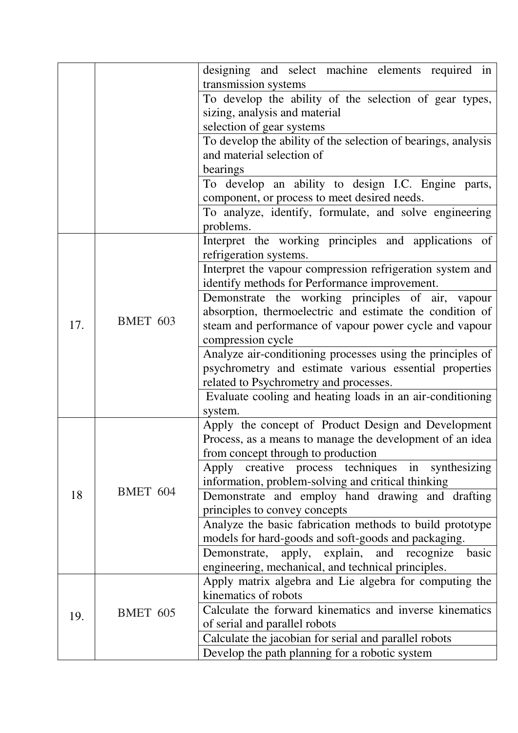|     |                 | designing and select machine elements required in                                                          |
|-----|-----------------|------------------------------------------------------------------------------------------------------------|
|     |                 | transmission systems                                                                                       |
|     |                 | To develop the ability of the selection of gear types,                                                     |
|     |                 | sizing, analysis and material                                                                              |
|     |                 | selection of gear systems                                                                                  |
|     |                 | To develop the ability of the selection of bearings, analysis                                              |
|     |                 | and material selection of                                                                                  |
|     |                 | bearings                                                                                                   |
|     |                 | To develop an ability to design I.C. Engine parts,                                                         |
|     |                 | component, or process to meet desired needs.                                                               |
|     |                 | To analyze, identify, formulate, and solve engineering                                                     |
|     |                 | problems.                                                                                                  |
|     |                 | Interpret the working principles and applications of<br>refrigeration systems.                             |
|     |                 | Interpret the vapour compression refrigeration system and<br>identify methods for Performance improvement. |
|     |                 | Demonstrate the working principles of air, vapour                                                          |
|     |                 | absorption, thermoelectric and estimate the condition of                                                   |
| 17. | <b>BMET 603</b> | steam and performance of vapour power cycle and vapour                                                     |
|     |                 | compression cycle                                                                                          |
|     |                 | Analyze air-conditioning processes using the principles of                                                 |
|     |                 | psychrometry and estimate various essential properties                                                     |
|     |                 | related to Psychrometry and processes.                                                                     |
|     |                 | Evaluate cooling and heating loads in an air-conditioning                                                  |
|     |                 | system.                                                                                                    |
|     | BMET 604        | Apply the concept of Product Design and Development                                                        |
|     |                 | Process, as a means to manage the development of an idea                                                   |
|     |                 | from concept through to production                                                                         |
|     |                 | Apply creative process techniques<br>synthesizing<br>in                                                    |
|     |                 | information, problem-solving and critical thinking                                                         |
| 18  |                 | Demonstrate and employ hand drawing and drafting                                                           |
|     |                 | principles to convey concepts                                                                              |
|     |                 | Analyze the basic fabrication methods to build prototype                                                   |
|     |                 | models for hard-goods and soft-goods and packaging.                                                        |
|     |                 | apply, explain, and<br>Demonstrate,<br>recognize<br>basic                                                  |
|     |                 | engineering, mechanical, and technical principles.                                                         |
|     |                 | Apply matrix algebra and Lie algebra for computing the                                                     |
|     | <b>BMET 605</b> | kinematics of robots                                                                                       |
| 19. |                 | Calculate the forward kinematics and inverse kinematics                                                    |
|     |                 | of serial and parallel robots                                                                              |
|     |                 | Calculate the jacobian for serial and parallel robots                                                      |
|     |                 | Develop the path planning for a robotic system                                                             |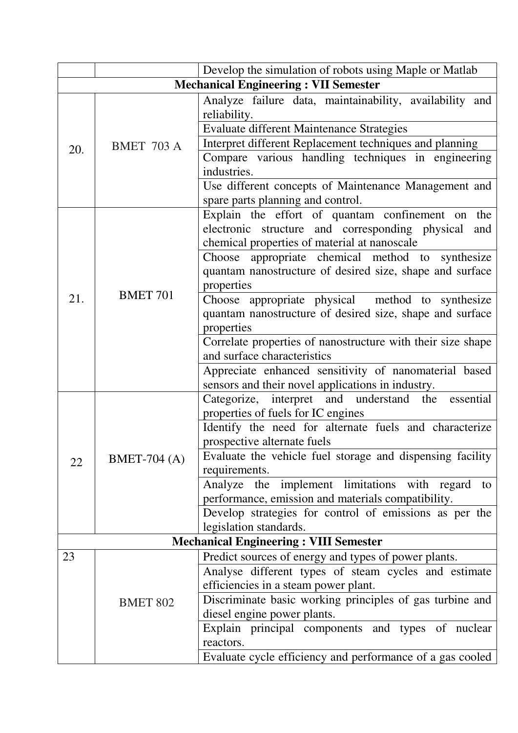|                                             |                     | Develop the simulation of robots using Maple or Matlab                                           |
|---------------------------------------------|---------------------|--------------------------------------------------------------------------------------------------|
| <b>Mechanical Engineering: VII Semester</b> |                     |                                                                                                  |
|                                             |                     | Analyze failure data, maintainability, availability and                                          |
|                                             |                     | reliability.                                                                                     |
|                                             |                     | Evaluate different Maintenance Strategies                                                        |
| 20.                                         | <b>BMET 703 A</b>   | Interpret different Replacement techniques and planning                                          |
|                                             |                     | Compare various handling techniques in engineering                                               |
|                                             |                     | industries.                                                                                      |
|                                             |                     | Use different concepts of Maintenance Management and                                             |
|                                             |                     | spare parts planning and control.                                                                |
|                                             |                     | Explain the effort of quantam confinement on the                                                 |
|                                             |                     | electronic structure and corresponding physical<br>and                                           |
|                                             |                     | chemical properties of material at nanoscale                                                     |
|                                             |                     | Choose appropriate chemical method to synthesize                                                 |
|                                             |                     | quantam nanostructure of desired size, shape and surface                                         |
|                                             | <b>BMET 701</b>     | properties                                                                                       |
| 21.                                         |                     | Choose appropriate physical method to synthesize                                                 |
|                                             |                     | quantam nanostructure of desired size, shape and surface                                         |
|                                             |                     | properties                                                                                       |
|                                             |                     | Correlate properties of nanostructure with their size shape                                      |
|                                             |                     | and surface characteristics                                                                      |
|                                             |                     | Appreciate enhanced sensitivity of nanomaterial based                                            |
|                                             |                     | sensors and their novel applications in industry.                                                |
|                                             |                     | Categorize, interpret and understand the essential                                               |
|                                             | <b>BMET-704 (A)</b> | properties of fuels for IC engines                                                               |
|                                             |                     | Identify the need for alternate fuels and characterize                                           |
|                                             |                     | prospective alternate fuels                                                                      |
| 22                                          |                     | Evaluate the vehicle fuel storage and dispensing facility                                        |
|                                             |                     | requirements.                                                                                    |
|                                             |                     | Analyze the implement limitations with regard to                                                 |
|                                             |                     | performance, emission and materials compatibility.                                               |
|                                             |                     | Develop strategies for control of emissions as per the                                           |
|                                             |                     | legislation standards.<br><b>Mechanical Engineering: VIII Semester</b>                           |
| 23                                          |                     |                                                                                                  |
|                                             |                     | Predict sources of energy and types of power plants.                                             |
|                                             |                     | Analyse different types of steam cycles and estimate                                             |
|                                             |                     | efficiencies in a steam power plant.<br>Discriminate basic working principles of gas turbine and |
|                                             | <b>BMET 802</b>     | diesel engine power plants.                                                                      |
|                                             |                     | Explain principal components and types of nuclear                                                |
|                                             |                     | reactors.                                                                                        |
|                                             |                     | Evaluate cycle efficiency and performance of a gas cooled                                        |